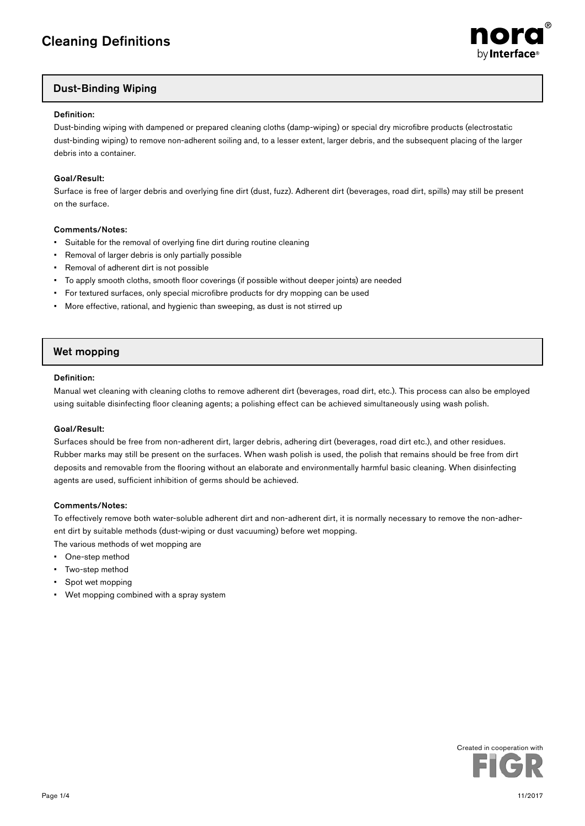

# Dust-Binding Wiping

### Definition:

Dust-binding wiping with dampened or prepared cleaning cloths (damp-wiping) or special dry microfibre products (electrostatic dust-binding wiping) to remove non-adherent soiling and, to a lesser extent, larger debris, and the subsequent placing of the larger debris into a container.

### Goal/Result:

Surface is free of larger debris and overlying fine dirt (dust, fuzz). Adherent dirt (beverages, road dirt, spills) may still be present on the surface.

### Comments/Notes:

- Suitable for the removal of overlying fine dirt during routine cleaning
- Removal of larger debris is only partially possible
- Removal of adherent dirt is not possible
- To apply smooth cloths, smooth floor coverings (if possible without deeper joints) are needed
- For textured surfaces, only special microfibre products for dry mopping can be used
- More effective, rational, and hygienic than sweeping, as dust is not stirred up

# Wet mopping

### Definition:

Manual wet cleaning with cleaning cloths to remove adherent dirt (beverages, road dirt, etc.). This process can also be employed using suitable disinfecting floor cleaning agents; a polishing effect can be achieved simultaneously using wash polish.

### Goal/Result:

Surfaces should be free from non-adherent dirt, larger debris, adhering dirt (beverages, road dirt etc.), and other residues. Rubber marks may still be present on the surfaces. When wash polish is used, the polish that remains should be free from dirt deposits and removable from the flooring without an elaborate and environmentally harmful basic cleaning. When disinfecting agents are used, sufficient inhibition of germs should be achieved.

### Comments/Notes:

To effectively remove both water-soluble adherent dirt and non-adherent dirt, it is normally necessary to remove the non-adherent dirt by suitable methods (dust-wiping or dust vacuuming) before wet mopping. The various methods of wet mopping are

- One-step method
- Two-step method
- Spot wet mopping
- Wet mopping combined with a spray system

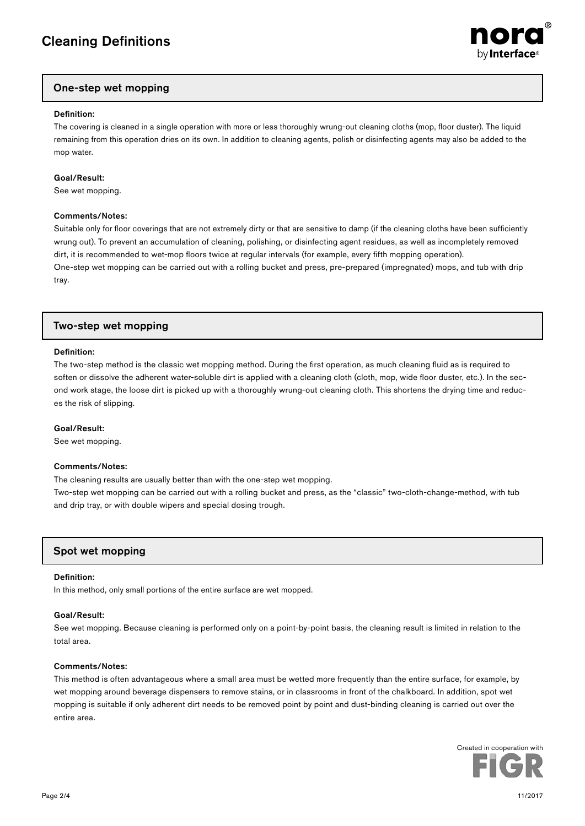

# One-step wet mopping

### Definition:

The covering is cleaned in a single operation with more or less thoroughly wrung-out cleaning cloths (mop, floor duster). The liquid remaining from this operation dries on its own. In addition to cleaning agents, polish or disinfecting agents may also be added to the mop water.

### Goal/Result:

See wet mopping.

### Comments/Notes:

Suitable only for floor coverings that are not extremely dirty or that are sensitive to damp (if the cleaning cloths have been sufficiently wrung out). To prevent an accumulation of cleaning, polishing, or disinfecting agent residues, as well as incompletely removed dirt, it is recommended to wet-mop floors twice at regular intervals (for example, every fifth mopping operation). One-step wet mopping can be carried out with a rolling bucket and press, pre-prepared (impregnated) mops, and tub with drip tray.

# Two-step wet mopping

### Definition:

The two-step method is the classic wet mopping method. During the first operation, as much cleaning fluid as is required to soften or dissolve the adherent water-soluble dirt is applied with a cleaning cloth (cloth, mop, wide floor duster, etc.). In the second work stage, the loose dirt is picked up with a thoroughly wrung-out cleaning cloth. This shortens the drying time and reduces the risk of slipping.

### Goal/Result:

See wet mopping.

### Comments/Notes:

The cleaning results are usually better than with the one-step wet mopping.

Two-step wet mopping can be carried out with a rolling bucket and press, as the "classic" two-cloth-change-method, with tub and drip tray, or with double wipers and special dosing trough.

# Spot wet mopping

### Definition:

In this method, only small portions of the entire surface are wet mopped.

### Goal/Result:

See wet mopping. Because cleaning is performed only on a point-by-point basis, the cleaning result is limited in relation to the total area.

### Comments/Notes:

This method is often advantageous where a small area must be wetted more frequently than the entire surface, for example, by wet mopping around beverage dispensers to remove stains, or in classrooms in front of the chalkboard. In addition, spot wet mopping is suitable if only adherent dirt needs to be removed point by point and dust-binding cleaning is carried out over the entire area.

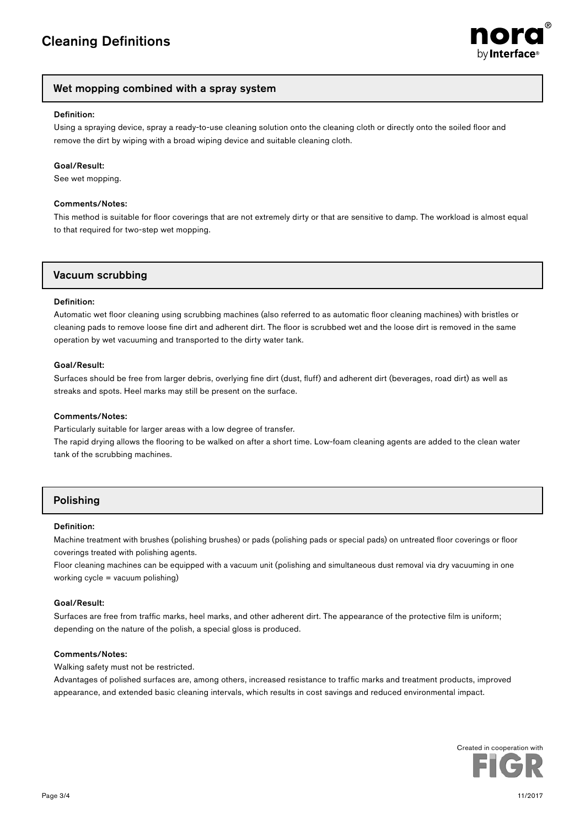

# Wet mopping combined with a spray system

### Definition:

Using a spraying device, spray a ready-to-use cleaning solution onto the cleaning cloth or directly onto the soiled floor and remove the dirt by wiping with a broad wiping device and suitable cleaning cloth.

### Goal/Result:

See wet mopping.

### Comments/Notes:

This method is suitable for floor coverings that are not extremely dirty or that are sensitive to damp. The workload is almost equal to that required for two-step wet mopping.

## Vacuum scrubbing

#### Definition:

Automatic wet floor cleaning using scrubbing machines (also referred to as automatic floor cleaning machines) with bristles or cleaning pads to remove loose fine dirt and adherent dirt. The floor is scrubbed wet and the loose dirt is removed in the same operation by wet vacuuming and transported to the dirty water tank.

#### Goal/Result:

Surfaces should be free from larger debris, overlying fine dirt (dust, fluff) and adherent dirt (beverages, road dirt) as well as streaks and spots. Heel marks may still be present on the surface.

### Comments/Notes:

Particularly suitable for larger areas with a low degree of transfer.

The rapid drying allows the flooring to be walked on after a short time. Low-foam cleaning agents are added to the clean water tank of the scrubbing machines.

# Polishing

### Definition:

Machine treatment with brushes (polishing brushes) or pads (polishing pads or special pads) on untreated floor coverings or floor coverings treated with polishing agents.

Floor cleaning machines can be equipped with a vacuum unit (polishing and simultaneous dust removal via dry vacuuming in one working cycle = vacuum polishing)

### Goal/Result:

Surfaces are free from traffic marks, heel marks, and other adherent dirt. The appearance of the protective film is uniform; depending on the nature of the polish, a special gloss is produced.

### Comments/Notes:

Walking safety must not be restricted.

Advantages of polished surfaces are, among others, increased resistance to traffic marks and treatment products, improved appearance, and extended basic cleaning intervals, which results in cost savings and reduced environmental impact.